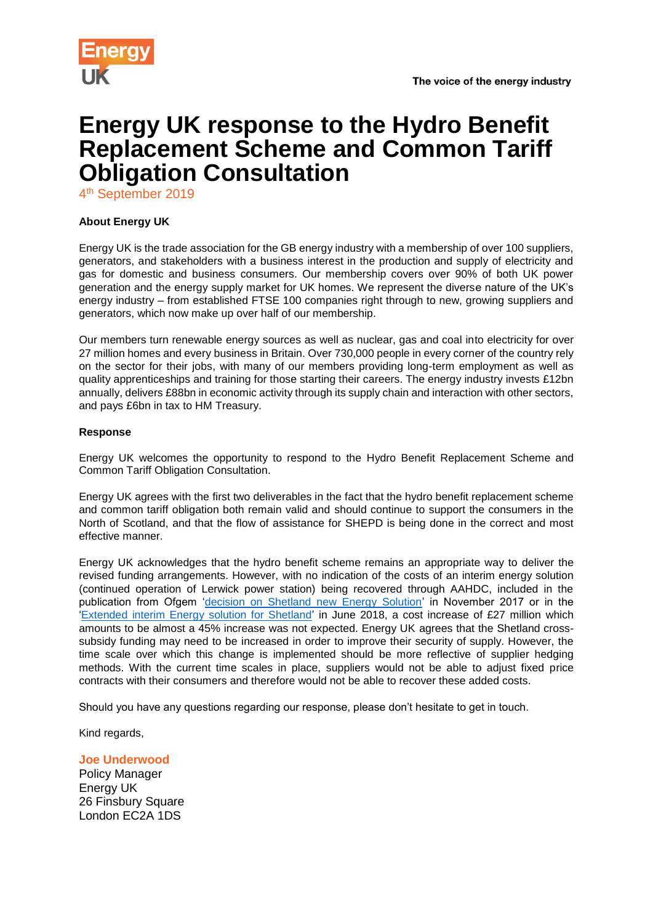

## **Energy UK response to the Hydro Benefit Replacement Scheme and Common Tariff Obligation Consultation**

4<sup>th</sup> September 2019

## **About Energy UK**

Energy UK is the trade association for the GB energy industry with a membership of over 100 suppliers, generators, and stakeholders with a business interest in the production and supply of electricity and gas for domestic and business consumers. Our membership covers over 90% of both UK power generation and the energy supply market for UK homes. We represent the diverse nature of the UK's energy industry – from established FTSE 100 companies right through to new, growing suppliers and generators, which now make up over half of our membership.

Our members turn renewable energy sources as well as nuclear, gas and coal into electricity for over 27 million homes and every business in Britain. Over 730,000 people in every corner of the country rely on the sector for their jobs, with many of our members providing long-term employment as well as quality apprenticeships and training for those starting their careers. The energy industry invests £12bn annually, delivers £88bn in economic activity through its supply chain and interaction with other sectors, and pays £6bn in tax to HM Treasury.

## **Response**

Energy UK welcomes the opportunity to respond to the Hydro Benefit Replacement Scheme and Common Tariff Obligation Consultation.

Energy UK agrees with the first two deliverables in the fact that the hydro benefit replacement scheme and common tariff obligation both remain valid and should continue to support the consumers in the North of Scotland, and that the flow of assistance for SHEPD is being done in the correct and most effective manner.

Energy UK acknowledges that the hydro benefit scheme remains an appropriate way to deliver the revised funding arrangements. However, with no indication of the costs of an interim energy solution (continued operation of Lerwick power station) being recovered through AAHDC, included in the publication from Ofgem ['decision on Shetland new Energy Solution'](https://www.ofgem.gov.uk/system/files/docs/2017/11/shetland_new_energy_solution_decision_-_final_0.pdf) in November 2017 or in the ['Extended interim Energy solution for Shetland'](https://www.ofgem.gov.uk/publications-and-updates/decision-costs-extended-interim-energy-solution-shetland) in June 2018, a cost increase of £27 million which amounts to be almost a 45% increase was not expected. Energy UK agrees that the Shetland crosssubsidy funding may need to be increased in order to improve their security of supply. However, the time scale over which this change is implemented should be more reflective of supplier hedging methods. With the current time scales in place, suppliers would not be able to adjust fixed price contracts with their consumers and therefore would not be able to recover these added costs.

Should you have any questions regarding our response, please don't hesitate to get in touch.

Kind regards,

## **Joe Underwood**

Policy Manager Energy UK 26 Finsbury Square London EC2A 1DS